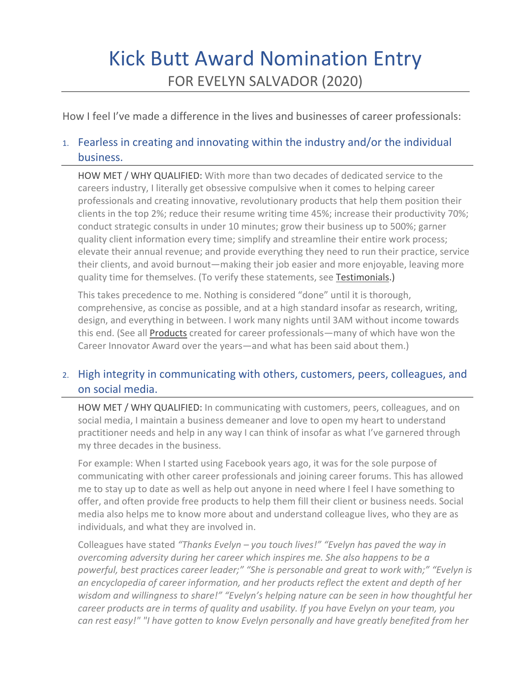# Kick Butt Award Nomination Entry FOR EVELYN SALVADOR (2020)

How I feel I've made a difference in the lives and businesses of career professionals:

# 1. Fearless in creating and innovating within the industry and/or the individual business.

HOW MET / WHY QUALIFIED: With more than two decades of dedicated service to the careers industry, I literally get obsessive compulsive when it comes to helping career professionals and creating innovative, revolutionary products that help them position their clients in the top 2%; reduce their resume writing time 45%; increase their productivity 70%; conduct strategic consults in under 10 minutes; grow their business up to 500%; garner quality client information every time; simplify and streamline their entire work process; elevate their annual revenue; and provide everything they need to run their practice, service their clients, and avoid burnout—making their job easier and more enjoyable, leaving more quality time for themselves. (To verify these statements, see Testimonials.)

This takes precedence to me. Nothing is considered "done" until it is thorough, comprehensive, as concise as possible, and at a high standard insofar as research, writing, design, and everything in between. I work many nights until 3AM without income towards this end. (See all Products created for career professionals—many of which have won the Career Innovator Award over the years—and what has been said about them.)

# 2. High integrity in communicating with others, customers, peers, colleagues, and on social media.

HOW MET / WHY QUALIFIED: In communicating with customers, peers, colleagues, and on social media, I maintain a business demeaner and love to open my heart to understand practitioner needs and help in any way I can think of insofar as what I've garnered through my three decades in the business.

For example: When I started using Facebook years ago, it was for the sole purpose of communicating with other career professionals and joining career forums. This has allowed me to stay up to date as well as help out anyone in need where I feel I have something to offer, and often provide free products to help them fill their client or business needs. Social media also helps me to know more about and understand colleague lives, who they are as individuals, and what they are involved in.

Colleagues have stated *"Thanks Evelyn – you touch lives!" "Evelyn has paved the way in overcoming adversity during her career which inspires me. She also happens to be a powerful, best practices career leader;" "She is personable and great to work with;" "Evelyn is an encyclopedia of career information, and her products reflect the extent and depth of her wisdom and willingness to share!" "Evelyn's helping nature can be seen in how thoughtful her career products are in terms of quality and usability. If you have Evelyn on your team, you can rest easy!" "I have gotten to know Evelyn personally and have greatly benefited from her*